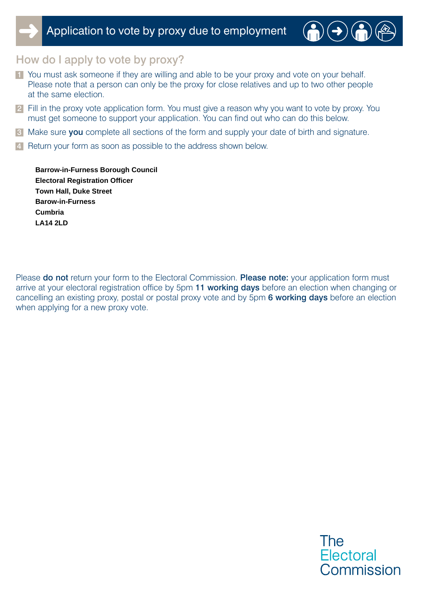

#### How do I apply to vote by proxy?

- 1 You must ask someone if they are willing and able to be your proxy and vote on your behalf. Please note that a person can only be the proxy for close relatives and up to two other people at the same election.
- 2 Fill in the proxy vote application form. You must give a reason why you want to vote by proxy. You must get someone to support your application. You can find out who can do this below.
- 3 Make sure you complete all sections of the form and supply your date of birth and signature.
- 4 Return your form as soon as possible to the address shown below.

**LA14 2LD Town Hall, Duke Street Cumbria Barrow-in-Furness Borough Council Barow-in-Furness Electoral Registration Officer**

Please do not return your form to the Electoral Commission. Please note: your application form must arrive at your electoral registration office by 5pm 11 working days before an election when changing or cancelling an existing proxy, postal or postal proxy vote and by 5pm 6 working days before an election when applying for a new proxy vote.

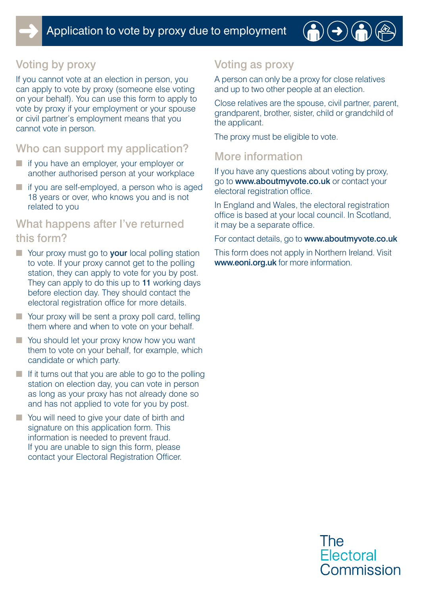

# Voting by proxy

If you cannot vote at an election in person, you can apply to vote by proxy (someone else voting on your behalf). You can use this form to apply to vote by proxy if your employment or your spouse or civil partner's employment means that you cannot vote in person.

## Who can support my application?

- if you have an employer, your employer or another authorised person at your workplace
- if you are self-employed, a person who is aged 18 years or over, who knows you and is not related to you

#### What happens after I've returned this form?

- Your proxy must go to **your** local polling station to vote. If your proxy cannot get to the polling station, they can apply to vote for you by post. They can apply to do this up to 11 working days before election day. They should contact the electoral registration office for more details.
- Your proxy will be sent a proxy poll card, telling them where and when to vote on your behalf.
- You should let your proxy know how you want them to vote on your behalf, for example, which candidate or which party.
- $\blacksquare$  If it turns out that you are able to go to the polling station on election day, you can vote in person as long as your proxy has not already done so and has not applied to vote for you by post.
- You will need to give your date of birth and signature on this application form. This information is needed to prevent fraud. If you are unable to sign this form, please contact your Electoral Registration Officer.

## Voting as proxy

A person can only be a proxy for close relatives and up to two other people at an election.

Close relatives are the spouse, civil partner, parent, grandparent, brother, sister, child or grandchild of the applicant.

The proxy must be eligible to vote.

## More information

If you have any questions about voting by proxy, go to www.aboutmyvote.co.uk or contact your electoral registration office.

In England and Wales, the electoral registration office is based at your local council. In Scotland, it may be a separate office.

For contact details, go to www.aboutmyvote.co.uk

This form does not apply in Northern Ireland. Visit www.eoni.org.uk for more information.

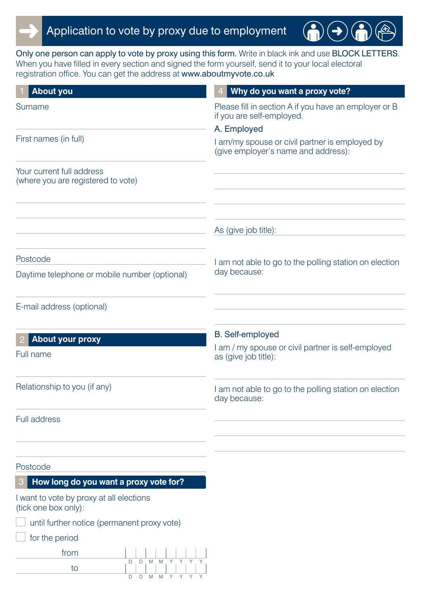

Only one person can apply to vote by proxy using this form. Write in black ink and use BLOCK LETTERS. When you have filled in every section and signed the form yourself, send it to your local electoral registration office. You can get the address at www.aboutmyvote.co.uk

 $\rightarrow$ 

| <b>About you</b>                                                              | Why do you want a proxy vote?                                                         |
|-------------------------------------------------------------------------------|---------------------------------------------------------------------------------------|
| Surname                                                                       | Please fill in section A if you have an employer or B<br>if you are self-employed.    |
|                                                                               | A. Employed                                                                           |
| First names (in full)                                                         | I am/my spouse or civil partner is employed by<br>(give employer's name and address): |
| Your current full address<br>(where you are registered to vote)               |                                                                                       |
|                                                                               |                                                                                       |
|                                                                               | As (give job title):                                                                  |
| Postcode                                                                      | I am not able to go to the polling station on election                                |
| Daytime telephone or mobile number (optional)                                 | day because:                                                                          |
| E-mail address (optional)                                                     |                                                                                       |
| <b>About your proxy</b>                                                       | <b>B.</b> Self-employed                                                               |
| Full name                                                                     | I am / my spouse or civil partner is self-employed<br>as (give job title):            |
| Relationship to you (if any)                                                  | I am not able to go to the polling station on election<br>day because:                |
| Full address                                                                  |                                                                                       |
|                                                                               |                                                                                       |
| Postcode                                                                      |                                                                                       |
| How long do you want a proxy vote for?<br>З                                   |                                                                                       |
| I want to vote by proxy at all elections<br>(tick one box only):              |                                                                                       |
| until further notice (permanent proxy vote)                                   |                                                                                       |
| for the period                                                                |                                                                                       |
| from                                                                          |                                                                                       |
| D<br>M<br>M<br>Y.<br>Y.<br>Y.<br>D<br>to<br>D<br>M<br>M<br>Y<br>Y.<br>Y.<br>D |                                                                                       |